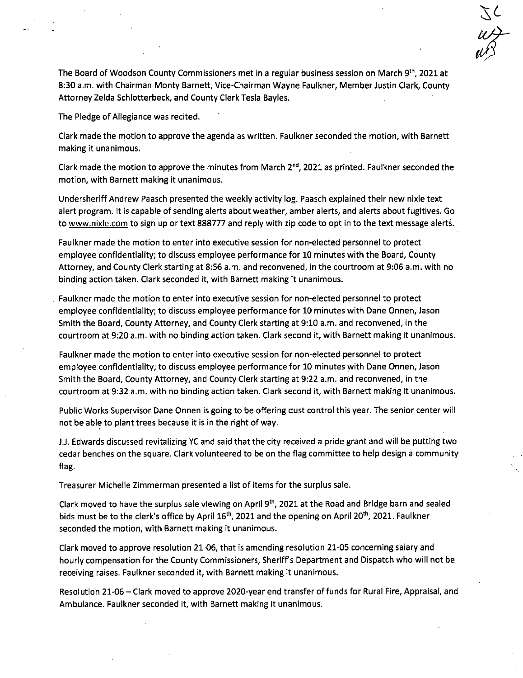The Board of Woodson County Commissioners met in a regular business session on March 9th, 2021 at 8:30 a.m. with Chairman Monty Barnett, Vice-Chairman Wayne Faulkner, Member Justin Clark, County Attorney Zelda Schlotterbeck, and County Clerk Tesla Bayles.

The Pledge of Allegiance was recited.

Clark made the motion to approve the agenda as written. Faulkner seconded the motion, with Barnett making it unanimous.

Clark made the motion to approve the minutes from March  $2^{nd}$ , 2021 as printed. Faulkner seconded the motion, with Barnett making it unanimous.

Undersheriff Andrew Paasch presented the weekly activity log. Paasch explained their new nixie text alert program. It is capable of sending alerts about weather, amber alerts, and alerts about fugitives. Go to www.nixle.comto sign up or text 888777 and reply with zip code to opt in to the text message alerts.

Faulkner made the motion to enter into executive session for non-elected personnel to protect employee confidentiality; to discuss employee performance for 10 minutes with the Board, County Attorney, and County Clerk starting at 8:56 a.m. and reconvened, in the courtroom at 9:06 a.m. with no binding action taken. Clark seconded it, with Barnett making it unanimous.

Faulkner made the motion to enter into executive session for non-elected personnel to protect employee confidentiality; to discuss employee performance for 10 minutes with Dane Onnen, Jason Smith the Board, County Attorney, and County Clerk starting at 9:10 a.m. and reconvened, in the courtroom at 9:20 a.m. with no binding action taken. Clark second it, with Barnett making it unanimous.

Faulkner made the motion to enter into executive session for non-elected personnel to protect employee confidentiality; to discuss employee performance for 10 minutes with Dane Onnen, Jason Smith the Board, County Attorney, and County Clerk starting at 9:22 a.m. and reconvened, in the courtroom at 9:32 a.m. with no binding action taken. Clark second it, with Barnett making it unanimous.

Public Works Supervisor Dane Onnen is going to be offering dust control this year. The senior center will not be able to plant trees because it is in the right of way.

J.J. Edwards discussed revitalizing YC and said that the city received a pride grant and will be putting two cedar benches on the square. Clark volunteered to be on the flag committee to help design a community flag.

Treasurer Michelle Zimmerman presented a list of items for the surplus sale.

Clark moved to have the surplus sale viewing on April 9th, 2021 at the Road and Bridge barn and sealed bids must be to the clerk's office by April 16<sup>th</sup>, 2021 and the opening on April 20<sup>th</sup>, 2021. Faulkner seconded the motion, with Barnett making it unanimous.

Clark moved to approve resolution 21-06, that is amending resolution 21-05 concerning salary and hourly compensation for the County Commissioners, Sheriff's Department and Dispatch who will not be receiving raises. Faulkner seconded it, with Barnett making it unanimous.

Resolution 21-06 — Clark moved to approve 2020-year end transfer of funds for Rural Fire, Appraisal, and Ambulance. Faulkner seconded it, with Barnett making it unanimous.